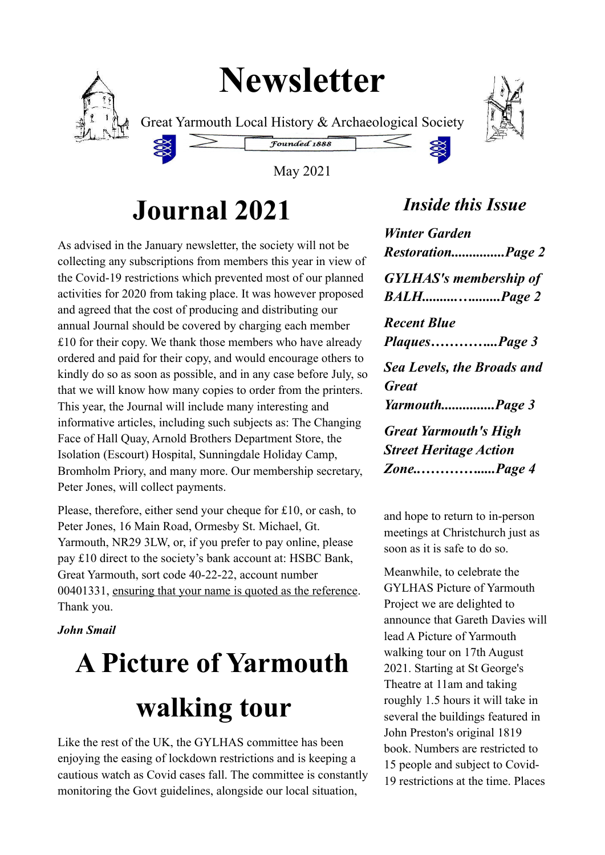## **Newsletter**



Great Yarmouth Local History & Archaeological Society



May 2021

Founded 1888

### **Journal 2021**

As advised in the January newsletter, the society will not be collecting any subscriptions from members this year in view of the Covid-19 restrictions which prevented most of our planned activities for 2020 from taking place. It was however proposed and agreed that the cost of producing and distributing our annual Journal should be covered by charging each member £10 for their copy. We thank those members who have already ordered and paid for their copy, and would encourage others to kindly do so as soon as possible, and in any case before July, so that we will know how many copies to order from the printers. This year, the Journal will include many interesting and informative articles, including such subjects as: The Changing Face of Hall Quay, Arnold Brothers Department Store, the Isolation (Escourt) Hospital, Sunningdale Holiday Camp, Bromholm Priory, and many more. Our membership secretary, Peter Jones, will collect payments.

Please, therefore, either send your cheque for £10, or cash, to Peter Jones, 16 Main Road, Ormesby St. Michael, Gt. Yarmouth, NR29 3LW, or, if you prefer to pay online, please pay £10 direct to the society's bank account at: HSBC Bank, Great Yarmouth, sort code 40-22-22, account number 00401331, ensuring that your name is quoted as the reference. Thank you.

#### *John Smail*

# **A Picture of Yarmouth walking tour**

Like the rest of the UK, the GYLHAS committee has been enjoying the easing of lockdown restrictions and is keeping a cautious watch as Covid cases fall. The committee is constantly monitoring the Govt guidelines, alongside our local situation,

### *Inside this Issue*

| <b>Winter Garden</b><br>RestorationPage 2                                   |
|-----------------------------------------------------------------------------|
| <b>GYLHAS's membership of</b>                                               |
| <b>Recent Blue</b><br>PlaquesPage 3                                         |
| <b>Sea Levels, the Broads and</b><br><b>Great</b><br>YarmouthPage 3         |
| <b>Great Yarmouth's High</b><br><b>Street Heritage Action</b><br>ZonePage 4 |
|                                                                             |

and hope to return to in-person meetings at Christchurch just as soon as it is safe to do so.

Meanwhile, to celebrate the GYLHAS Picture of Yarmouth Project we are delighted to announce that Gareth Davies will lead A Picture of Yarmouth walking tour on 17th August 2021. Starting at St George's Theatre at 11am and taking roughly 1.5 hours it will take in several the buildings featured in John Preston's original 1819 book. Numbers are restricted to 15 people and subject to Covid-19 restrictions at the time. Places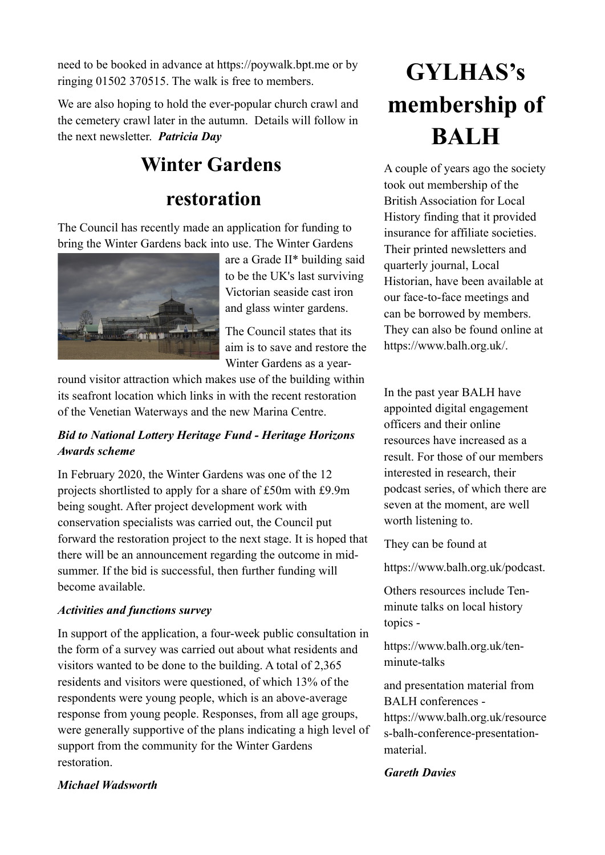need to be booked in advance at https://poywalk.bpt.me or by ringing 01502 370515. The walk is free to members.

We are also hoping to hold the ever-popular church crawl and the cemetery crawl later in the autumn. Details will follow in the next newsletter. *Patricia Day*

### **Winter Gardens**

### **restoration**

The Council has recently made an application for funding to bring the Winter Gardens back into use. The Winter Gardens



are a Grade II\* building said to be the UK's last surviving Victorian seaside cast iron and glass winter gardens.

The Council states that its aim is to save and restore the Winter Gardens as a year-

round visitor attraction which makes use of the building within its seafront location which links in with the recent restoration of the Venetian Waterways and the new Marina Centre.

#### *Bid to National Lottery Heritage Fund - Heritage Horizons Awards scheme*

In February 2020, the Winter Gardens was one of the 12 projects shortlisted to apply for a share of £50m with £9.9m being sought. After project development work with conservation specialists was carried out, the Council put forward the restoration project to the next stage. It is hoped that there will be an announcement regarding the outcome in midsummer. If the bid is successful, then further funding will become available.

#### *Activities and functions survey*

In support of the application, a four-week public consultation in the form of a survey was carried out about what residents and visitors wanted to be done to the building. A total of 2,365 residents and visitors were questioned, of which 13% of the respondents were young people, which is an above-average response from young people. Responses, from all age groups, were generally supportive of the plans indicating a high level of support from the community for the Winter Gardens restoration.

### **GYLHAS's membership of BALH**

A couple of years ago the society took out membership of the British Association for Local History finding that it provided insurance for affiliate societies. Their printed newsletters and quarterly journal, Local Historian, have been available at our face-to-face meetings and can be borrowed by members. They can also be found online at https://www.balh.org.uk/.

In the past year BALH have appointed digital engagement officers and their online resources have increased as a result. For those of our members interested in research, their podcast series, of which there are seven at the moment, are well worth listening to.

They can be found at

https://www.balh.org.uk/podcast.

Others resources include Tenminute talks on local history topics -

https://www.balh.org.uk/tenminute-talks

and presentation material from BALH conferences https://www.balh.org.uk/resource s-balh-conference-presentationmaterial.

#### *Gareth Davies*

#### *Michael Wadsworth*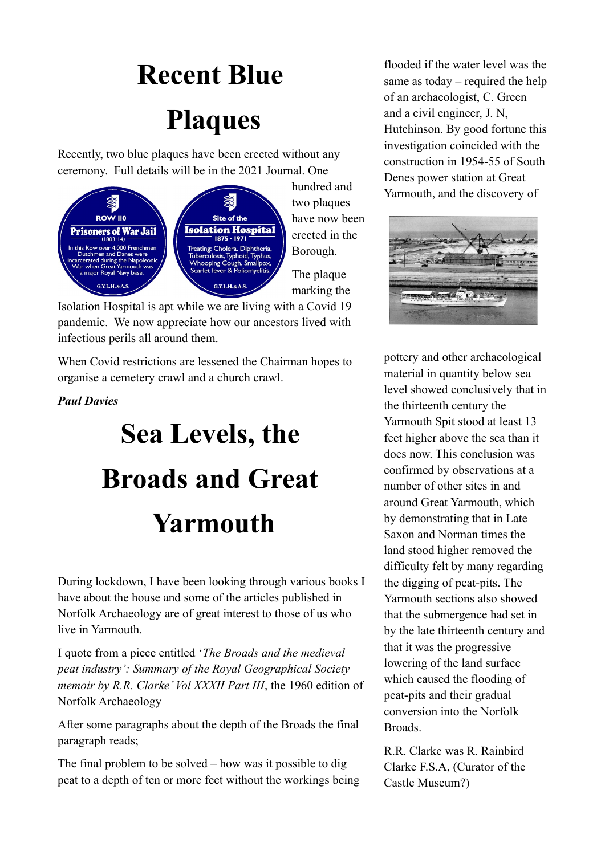## **Recent Blue Plaques**

Recently, two blue plaques have been erected without any ceremony. Full details will be in the 2021 Journal. One



hundred and two plaques have now been erected in the Borough.

The plaque marking the

Isolation Hospital is apt while we are living with a Covid 19 pandemic. We now appreciate how our ancestors lived with infectious perils all around them.

When Covid restrictions are lessened the Chairman hopes to organise a cemetery crawl and a church crawl.

#### *Paul Davies*

## **Sea Levels, the Broads and Great Yarmouth**

During lockdown, I have been looking through various books I have about the house and some of the articles published in Norfolk Archaeology are of great interest to those of us who live in Yarmouth.

I quote from a piece entitled '*The Broads and the medieval peat industry': Summary of the Royal Geographical Society memoir by R.R. Clarke' Vol XXXII Part III*, the 1960 edition of Norfolk Archaeology

After some paragraphs about the depth of the Broads the final paragraph reads;

The final problem to be solved – how was it possible to dig peat to a depth of ten or more feet without the workings being flooded if the water level was the same as today – required the help of an archaeologist, C. Green and a civil engineer, J. N, Hutchinson. By good fortune this investigation coincided with the construction in 1954-55 of South Denes power station at Great Yarmouth, and the discovery of



pottery and other archaeological material in quantity below sea level showed conclusively that in the thirteenth century the Yarmouth Spit stood at least 13 feet higher above the sea than it does now. This conclusion was confirmed by observations at a number of other sites in and around Great Yarmouth, which by demonstrating that in Late Saxon and Norman times the land stood higher removed the difficulty felt by many regarding the digging of peat-pits. The Yarmouth sections also showed that the submergence had set in by the late thirteenth century and that it was the progressive lowering of the land surface which caused the flooding of peat-pits and their gradual conversion into the Norfolk Broads.

R.R. Clarke was R. Rainbird Clarke F.S.A, (Curator of the Castle Museum?)